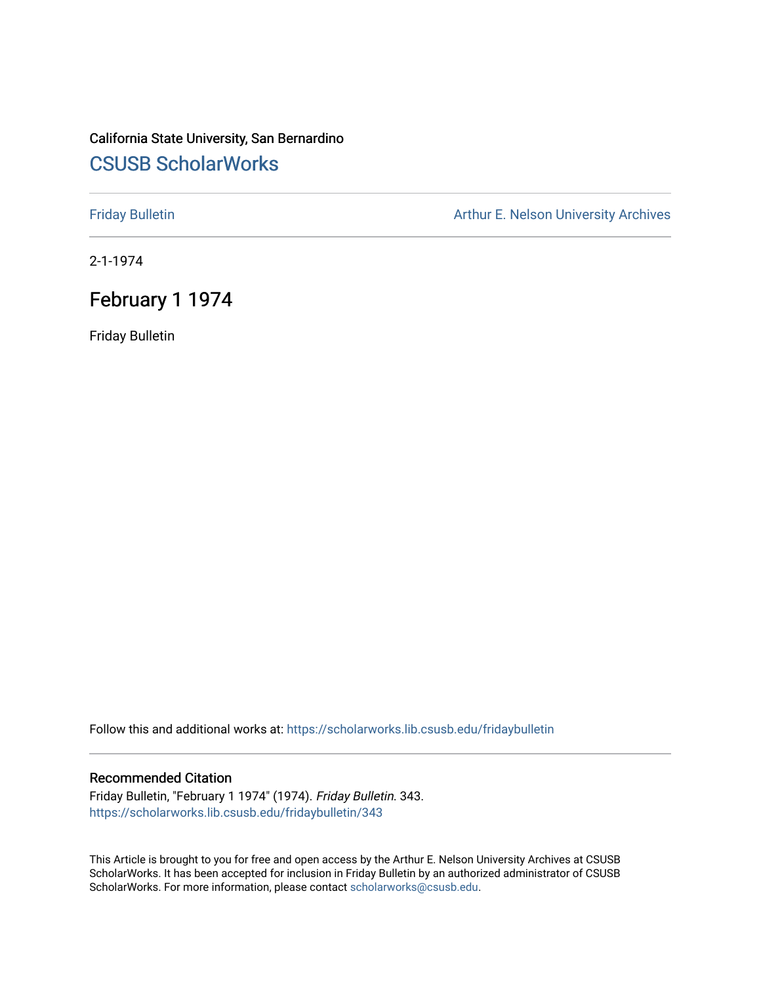## California State University, San Bernardino [CSUSB ScholarWorks](https://scholarworks.lib.csusb.edu/)

[Friday Bulletin](https://scholarworks.lib.csusb.edu/fridaybulletin) **Arthur E. Nelson University Archives** Arthur E. Nelson University Archives

2-1-1974

# February 1 1974

Friday Bulletin

Follow this and additional works at: [https://scholarworks.lib.csusb.edu/fridaybulletin](https://scholarworks.lib.csusb.edu/fridaybulletin?utm_source=scholarworks.lib.csusb.edu%2Ffridaybulletin%2F343&utm_medium=PDF&utm_campaign=PDFCoverPages)

## Recommended Citation

Friday Bulletin, "February 1 1974" (1974). Friday Bulletin. 343. [https://scholarworks.lib.csusb.edu/fridaybulletin/343](https://scholarworks.lib.csusb.edu/fridaybulletin/343?utm_source=scholarworks.lib.csusb.edu%2Ffridaybulletin%2F343&utm_medium=PDF&utm_campaign=PDFCoverPages)

This Article is brought to you for free and open access by the Arthur E. Nelson University Archives at CSUSB ScholarWorks. It has been accepted for inclusion in Friday Bulletin by an authorized administrator of CSUSB ScholarWorks. For more information, please contact [scholarworks@csusb.edu.](mailto:scholarworks@csusb.edu)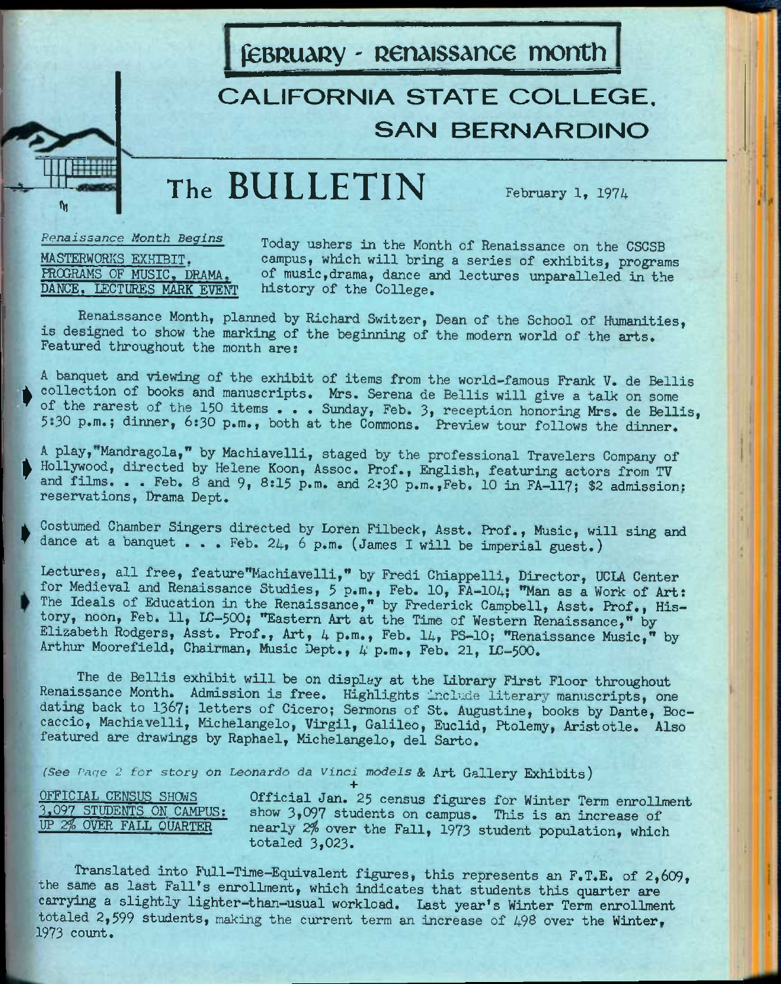**(feBRUARy - Renaissance month** 

# **CALIFORNIA STATE COLLEGE, SAN BERNARDINO**

# **The BULLETIN** February 1, 1974

*Penaissance Month Begins* 

IVl

MASTERWORKS EXHIBIT. PROGRAMS OF MUSIC. DRAMA. DANCE. LECTURES MARK EVENT Today ushers in the Month of Renaissance on the CSCSB campus, which will bring a series of exhibits, programs of music,drama, dance and lectures unparalleled in the history of the College.

Renaissance Month, planned by Richard Switzer, Dean of the School of Humanities, is designed to show the marking of the beginning of the modern world of the arts. Featured throughout the month are:

**•** collection of books and manuscripts. Mrs. Serena de Bellis will give a talk on some of the rarest of the 150 items . . . Sunday, Feb. 3, reception honoring Mrs. de Bellis, A banquet and viewing of the exhibit of items from the world-famous Frank V. de Bellis 5\*30 p.m.; dinner, 6:30 p.m., both at the Commons. Preview tour follows the dinner.

Hollywood, directed by Helene Koon, Assoc. Prof., English, featuring actors from TV and films. . . Feb. 8 and 9.8:15 Dem. and 2:30 D.m. Eab. 10 in FA 117. \$2 edmission A play, Mandragola," by Machiavelli, staged by the professional Travelers Company of and films. . . Feb. 8 and 9, 8:15 p.m. and 2:30 p.m.,Feb. 10 in FA-117; \$2 admission: reservations. Drama Dept.

**I**  Costumed Chamber Singers directed by Loren Filbeck, Asst. Prof., Music, will sing and dance at a banquet . . . Feb. 24, 6 p.m. (James I will be imperial guest.)

Lectures, all free, feature"Machiavelli," by Fredi Chiappelli, Director, UCLA Center for Medieval and Renaissance Studies, 5 p.m., Feb. 10, FA-104; "Man as a Work of Art: The Ideals of Education in the Renaissance," by Frederick Campbell, Asst. Prof., History, noon, Feb. 11, LC-500; "Eastern Art at the Time of Western Renaissance," by Elizabeth Rodgers, Asst. Prof., Art, 4 p.m., Feb. 14, PS-10; "Renaissance Music," by Arthur Moorefield, Chairman, Music Dept., **4** p.m., Feb. 21, LC**-500.** 

The de Bellis exhibit will be on display at the Library First Floor throughout Renaissance Month. Admission is free. Highlights include literary manuscripts, one dating back to 1367; letters of Cicero; Sermons of St. Augustine, books by Dante, Boccaccio, Machiavelli, Michelangelo, Virgil, Galileo, Euclid, Ptolemy, Aristotle. Also featured are drawings by Raphael, Michelangelo, del Sarto.

*(See f'aqe 2 for story on Leonardo da Vinci models* & Art Gallery Exhibits) **+** 

OFFICIAL CENSUS SHOWS 3.097 STUDENTS ON CAMPUS: UP 2% OVER FALL QUARTER

Official Jan. 2\$ census figures for Winter Term enrollment show 3,097 students on campus. This is an increase of nearly 2% over the Fall, 1973 student population, which totaled **3,023.** 

Translated into Pull-Time-Equivalent figures, this represents an F.T.E. of 2,609, the same as last Fall's enrollment, which indicates that students this quarter are carrying a slightly lighter-than—usual workload. Last year's Winter Term enrollment totaled 2,599 students, making the current term an increase of 498 over the Winter. 1973 count.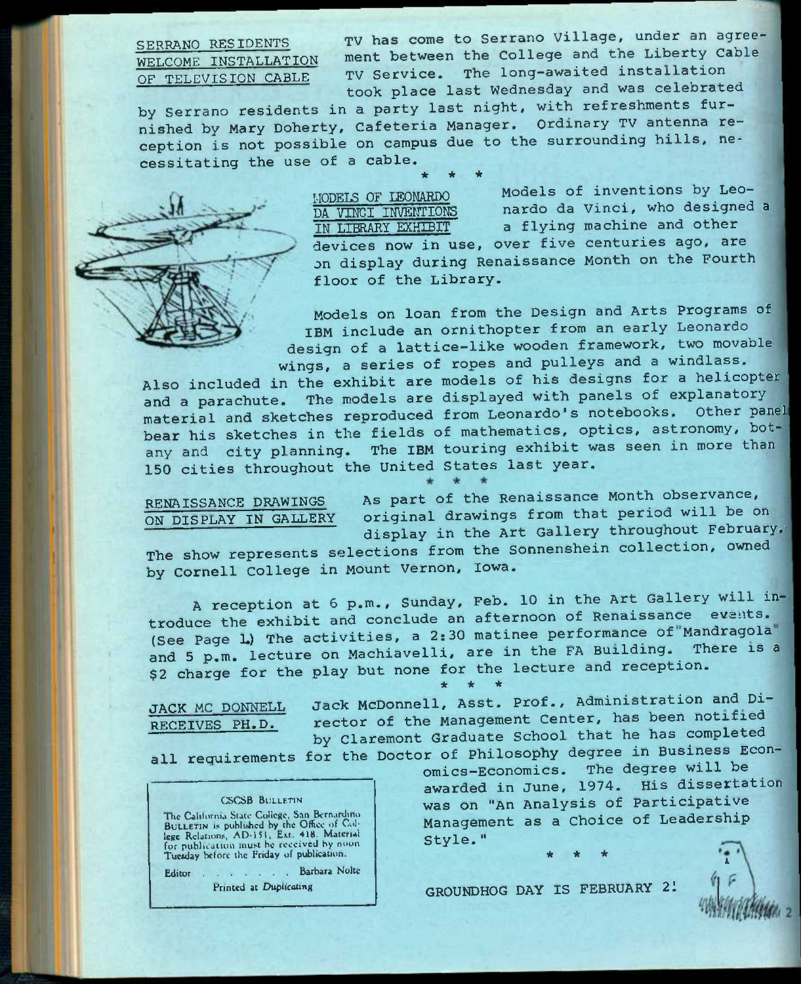SERRANO RESIDENTS WELCOME INSTALLATION OF TELEVISION CABLE

TV has come to Serrano Village, under an agreement between the College and the Liberty Cable TV Service. The long—awaited installation took place last Wednesday and was celebrated

by Serrano residents in a party last night, with refreshments furnished by Mary Doherty, Cafeteria Manager. Ordinary TV antenna reception is not possible on campus due to the surrounding hills, necessitating the use of a cable. **\* \* \*** 



MODELS OF LEOHARDO DA VINCI INVENTIONS IN LIBRARY EXHIBIT Models of inventions by Leonardo da Vinci, who designed a a flying machine and other devices now in use, over five centuries ago, are on display during Renaissance Month on the Fourth floor of the Library.

**Models on loan from the Design and Arts Programs of IBM include an ornithopter from an early Leonardo design of a lattice-like wooden framework, two movable wings, a series of ropes and pulleys and** a **windlass.** 

**Also included in the exhibit are models of his designs for a helicopter and a parachute. The models are displayed with panels of explanatory**  material and sketches reproduced from Leonardo's notebooks. **bear his sketches in the fields of mathematics, optics, astronomy, botany and city planning. The IBM touring exhibit was seen in more than 150 cities throughout the United States last year.** 

RENAISSANCE DRAWINGS ON DISPLAY IN GALLERY **As part of the Renaissance Month observance, original drawings from that period will be on display in the Art Gallery throughout February.'** 

The show represents selections from the Sonnenshein collection, owned **by Cornell College in Mount Vernon, Iowa.** 

**A reception at 6 p.m., Sunday, Feb. 10 in the Art Gallery will introduce the exhibit and conclude an afternoon of Renaissance events. (See Page L) The activities, a 2:30 matinee performance of Mandragola and 5 p.m. lecture on Machiavelli, are in the FA Building. There is a \$2 charge for the play but none for the lecture and reception. \* \* \*** 

**JACK** MC **DONNELL Jack McDonnell, Asst. Prof., Administration and Di-RECEIVES PH.D. rector of the Management Center, has been notified by Claremont Graduate School that he has completed all requirements for the Doctor of Philosophy degree in Business Econ-**

### CSCSB BULLETIN

The California State College, San Bernardino<br>BULLETIN is published by the Office of College Relations, AD-151, Ext. 418. Material<br>for publication must he received by noon<br>Tuc«day before the Friday of publication.

Editor . . . . . . Barbara Nolte

**\_ omics-Economics. The degree will be awarded in June, 1974. His dissertation was on "An Analysis of Participative Management as a Choice of Leadership Style." \* \* \*** 

*k* 

Printed at Duplicating **bigger and GROUNDHOG DAY IS FEBRUARY 2!**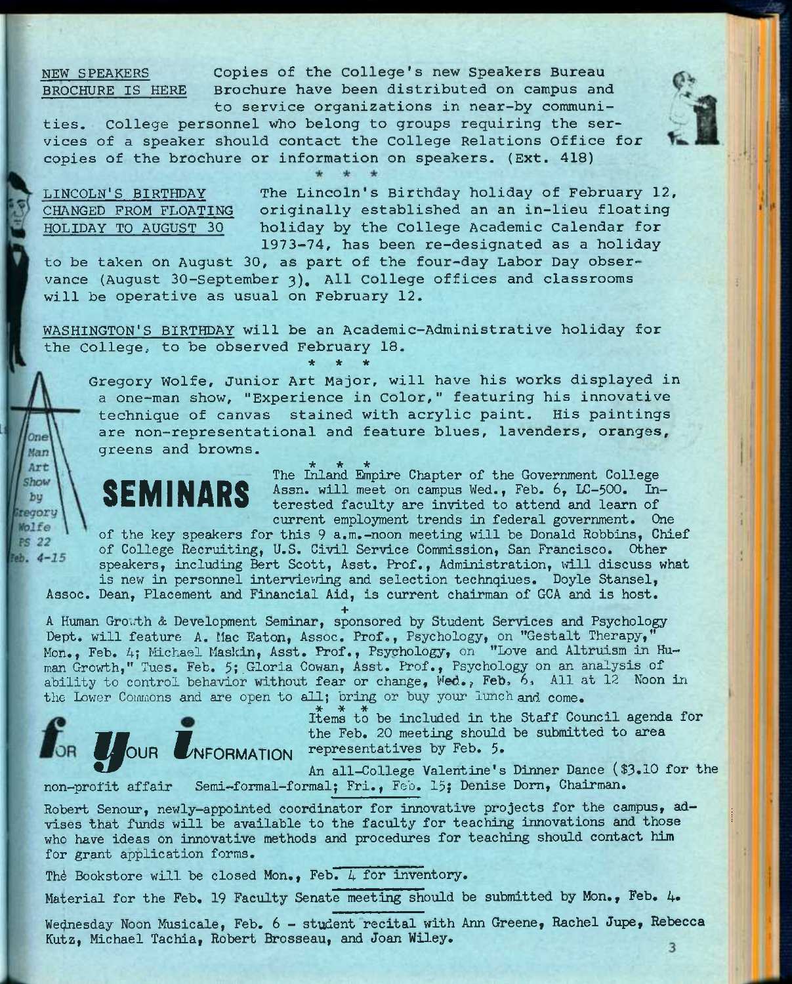**Copies of the College's new Speakers Bureau Brochure have been distributed on campus and to service organizations in near-by communi-**

**ties. College personnel who belong to groups requiring the services of a speaker should contact the College Relations office for copies of the brochure or information on speakers. (Ext. 418)** 

**LINCOLN'S BIRTHDAY CHANGED FROM FLOATING HOLIDAY TO AUGUST 30** 

**NEW SPEAKERS** 

lone Man Art Show by regory Wolfe **PS 22**  $4 - 15$ 

**BROCHURE IS HERE** 

**The Lincoln's Birthday holiday of February 12, originally established an an in-lieu floating holiday by the College Academic Calendar for 1973-74, has been re-designated as a holiday** 

**to be taken on August 30, as part of the four-day Labor Day observance (August 30-September 3). All College offices and classrooms will be operative as usual on February 12.** 

**WASHINGTON'S BIRTHDAY will be an Academic-Administrative holiday for the College, to be observed February** 18. **\* \* \*** 

**Gregory Wolfe, Junior Art Major, will have his works displayed in a one-man show, "Experience in Color," featuring his innovative technique of canvas stained with acrylic paint. His paintings are non-representational and feature blues, lavenders, oranges, greens and browns.** 

SEMINARS

**\* \* •**  The Inland Empire Chapter of the Government College Assn. will meet on campus Wed., Feb. 6, LC-500. Interested faculty are invited to attend and learn of current employment trends in federal government. One

of the key speakers for this 9 a.m.-noon meeting will be Donald Robbins, Chief of College Recruiting, U.S. Civil Service Commission, San Francisco. Other speakers, including Bert Scott, Asst. Prof., Administration, will discuss what

is new in personnel interviewing and selection technqiues. Doyle Stansel, Assoc. Dean, Placement and Financial Aid, is current chairman of GCA and is host.

**+**  A Human GrOut,h & Development Seminar, sponsored by Student Services and Psychology Dept. will feature A. Mac Eaton, Assoc, Prof., Psychology, on "Gestalt Therapy," Mon., Feb. 4; Michael Maskin, Asst. Prof., Psychology, on "Love and Altruism in Human Growth," Tues. Feb. 5; Gloria Cowan, Asst. Prof., Psychology on an analysis of ability to control behavior without fear or change,  $Wed_{\bullet}$ , Feb. 6. All at 12 Noon in the Lower Commons and are open to all; bring or buy your lunch and come.



*i*  $\overrightarrow{A}$   $\overrightarrow{A}$   $\overrightarrow{A}$   $\overrightarrow{B}$   $\overrightarrow{C}$  included in the Staff Council agenda for the Feb. 20 meeting should be submitted to area *presentatives* by Feb. 5.

non-profit affair Semi-formal-formal; Fri., Feb. 15; Denise Dorn, Chairman. An all-College Valentine's Dinner Dance (\$3.10 for the

Robert Senour, newly-appointed coordinator for innovative projects for the campus, advises that funds will be available to the faculty for teaching innovations and those who have ideas on innovative methods and procedures for teaching should contact him for grant application forms.

The Bookstore will be closed Mon., Feb. 4 for inventory.

Material for the Feb. 19 Faculty Senate meeting should be submitted by Mon., Feb. 4.

Wednesday Noon Musicale, Feb. 6 - student recital with Ann Greene, Rachel Jupe, Rebecca Kutz, Michael Tachia, Robert Brosseau, and Joan Wiley.  $\overline{3}$ 

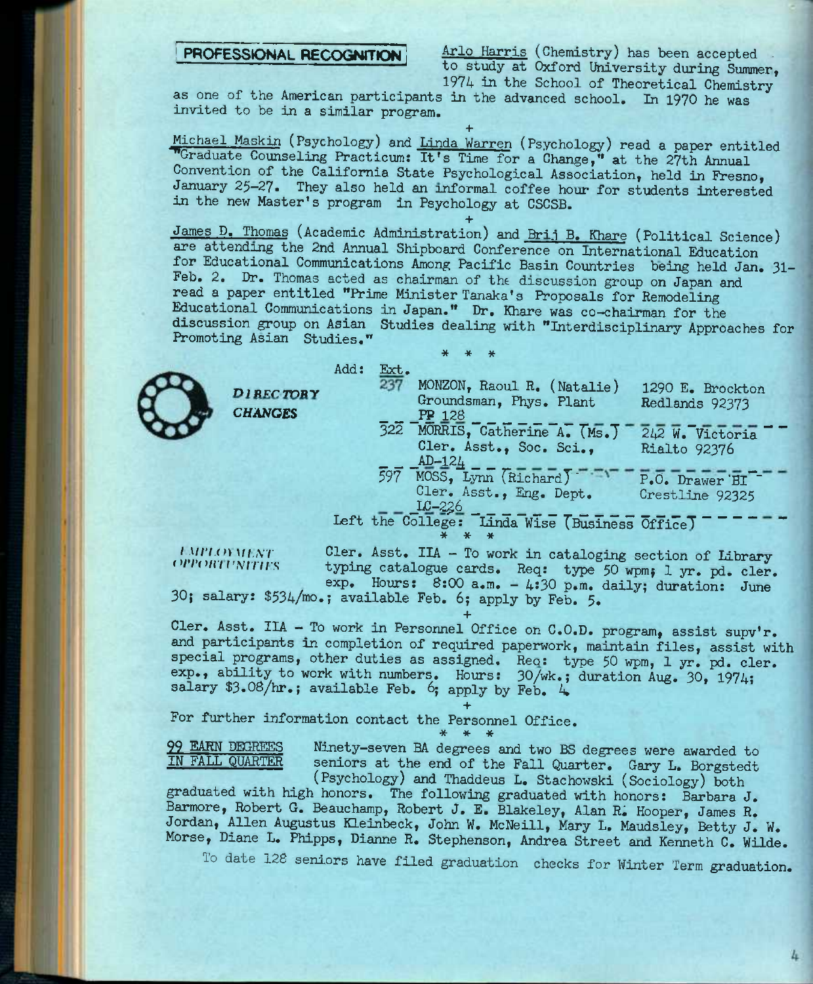PROFESSIONAL RECOGNITION Arlo Harris (Chemistry) has been accepted to study at Oxford University during Summer. 1974 in the School of Theoretical Chemistry

as one of the American participants in the advanced school. In 1970 he was invited to be in a similar program.

**+**  Michael Maskin (Psychology) and Linda Warren (Psychology) read a paper entitled **WGraduate Counseling Practicum: It's Time for a Change," at the 27th Annual** Convention of the California State Psychological Association, held in Fresno, January 25-27. They also held an informal coffee hour for students interested in the new Master's program in Psychology at CSCSB.

**+**  James D. Thomas (Academic Administration) and Brij B. Khare (Political Science) are attending the 2nd Annual Shipboard Conference on Jnternational Education for Educational Communications Among Pacific Basin Countries being held Jan, 31- Feb. 2. Dr. Thomas acted as chairman of the discussion group on Japan and read a paper entitled "Prime Minister Tanaka's Proposals for Remodeling Educational Communications in Japan," Dr, Khare was co-chairman for the discussion group on Asian Studies dealing with "Interdisciplinary Approaches for Promoting Asian Studies,"



|                                    |      | $*$                                                                                                                  |  |
|------------------------------------|------|----------------------------------------------------------------------------------------------------------------------|--|
| <b>DIRECTORY</b><br><b>CHANGES</b> | Add: | Ext.<br>MONZON, Raoul R. (Natalie)<br>237<br>1290 E. Brockton<br>Groundsman, Phys. Plant<br>Redlands 92373<br>PP 128 |  |
|                                    |      | 322 MORRIS, Catherine A. (Ms.) 242 W. Victoria<br>Cler. Asst., Soc. Sci.,<br>Rialto 92376<br>$AD-124$                |  |
|                                    |      | 597 MOSS, Lynn (Richard)<br>P.O. Drawer 'BI<br>Cler. Asst., Eng. Dept.<br>Crestline 92325<br>$LC-226$                |  |
|                                    |      | Left the College: Linda Wise (Business Office)                                                                       |  |

/ A//// A/// M/// Cler. Asst. IIA - To work in cataloging section of Library<br>OFFORTUNITIES tuning catalogie cards. Req. time 50 upm: 1 in rd. alon ()PPORTUNITHS typing catalogue cards. Req: type 50 wpm; 1 yr. pd. cler. exp. Hours:  $8:00$  a.m.  $- 4:30$  p.m. daily; duration: June 30; salary: \$534/mo,; available Feb, 6; apply by Feb. 5,

**+**  Cler, Asst. IIA — To work in Personnel Office on C.O.D, program, assist supv'r, and participants in completion of required paperwork, maintain files, assist with special programs, other duties as assigned. Req: type 50 wpm, 1 yr. pd. cler. exp., ability to work with numbers. Hours: 30/wk.; duration Aug. 30, 1974; salary \$3.08/hr.; available Feb. 6; apply by Feb. 4.

\* \* \*

**+**  For further information contact the Personnel Office,  $* * * *$ 

99 EARN DEGREES Minety-seven BA degrees and two BS degrees were awarded to IN FALL QUARTER seniors at the end of the Fall Quarter Cary I. Borgstodt seniors at the end of the Fall Quarter. Gary L. Borgstedt (Psychology) and Thaddeus L, Stachowski (Sociology) both

graduated with high honors. The following graduated with honors: Barbara J. Barmore, Robert G, Beauchamp, Robert J. E, Blakeley, Alan R; Hooper, James R, Jordan, Allen Augustus Kleinbeck, John W, McNeill, Mary L. Maudsley, Betty J, W, Morse, Diane L, Phipps, Dianne R. Stephenson, Andrea Street and Kenneth C. Wilde,

To date 128 seniors have filed graduation checks for Winter Term graduation.